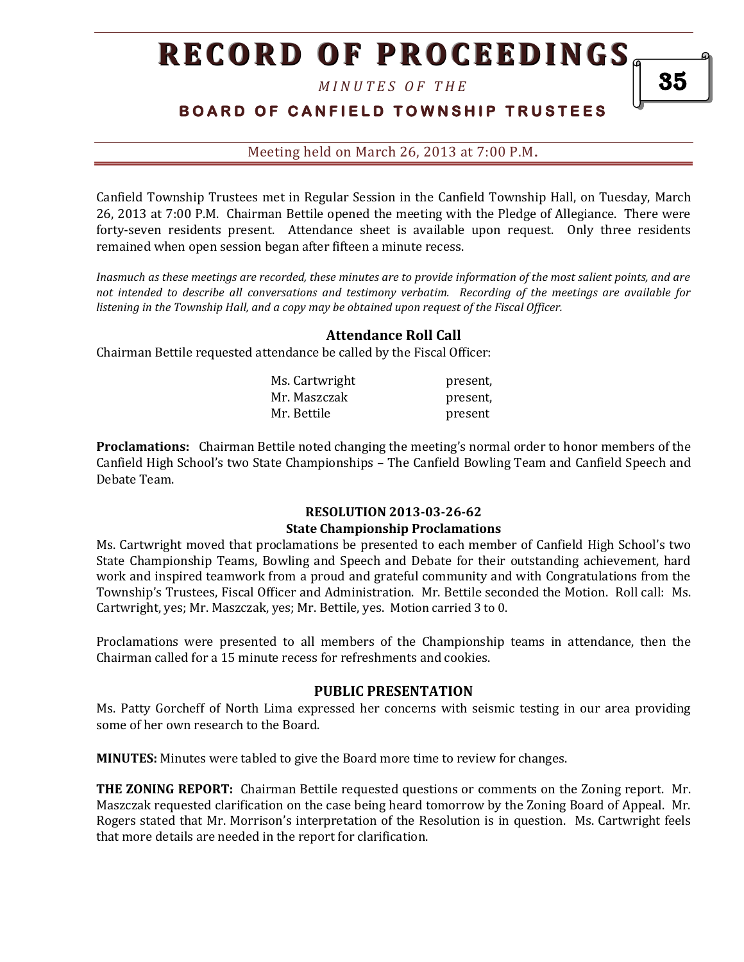*M I N U T E S O F T H E* 

## **BOARD OF CANFIELD TOWNSHIP TRUSTEES**

Meeting held on March 26, 2013 at 7:00 P.M**.**

Canfield Township Trustees met in Regular Session in the Canfield Township Hall, on Tuesday, March 26, 2013 at 7:00 P.M. Chairman Bettile opened the meeting with the Pledge of Allegiance. There were forty-seven residents present. Attendance sheet is available upon request. Only three residents remained when open session began after fifteen a minute recess.

*Inasmuch as these meetings are recorded, these minutes are to provide information of the most salient points, and are not intended to describe all conversations and testimony verbatim. Recording of the meetings are available for listening in the Township Hall, and a copy may be obtained upon request of the Fiscal Officer.* 

#### **Attendance Roll Call**

Chairman Bettile requested attendance be called by the Fiscal Officer:

| Ms. Cartwright | present, |
|----------------|----------|
| Mr. Maszczak   | present, |
| Mr. Bettile    | present  |

**Proclamations:** Chairman Bettile noted changing the meeting's normal order to honor members of the Canfield High School's two State Championships – The Canfield Bowling Team and Canfield Speech and Debate Team.

#### **RESOLUTION 2013-03-26-62 State Championship Proclamations**

Ms. Cartwright moved that proclamations be presented to each member of Canfield High School's two State Championship Teams, Bowling and Speech and Debate for their outstanding achievement, hard work and inspired teamwork from a proud and grateful community and with Congratulations from the Township's Trustees, Fiscal Officer and Administration. Mr. Bettile seconded the Motion. Roll call: Ms. Cartwright, yes; Mr. Maszczak, yes; Mr. Bettile, yes. Motion carried 3 to 0.

Proclamations were presented to all members of the Championship teams in attendance, then the Chairman called for a 15 minute recess for refreshments and cookies.

#### **PUBLIC PRESENTATION**

Ms. Patty Gorcheff of North Lima expressed her concerns with seismic testing in our area providing some of her own research to the Board.

**MINUTES:** Minutes were tabled to give the Board more time to review for changes.

**THE ZONING REPORT:** Chairman Bettile requested questions or comments on the Zoning report. Mr. Maszczak requested clarification on the case being heard tomorrow by the Zoning Board of Appeal. Mr. Rogers stated that Mr. Morrison's interpretation of the Resolution is in question. Ms. Cartwright feels that more details are needed in the report for clarification.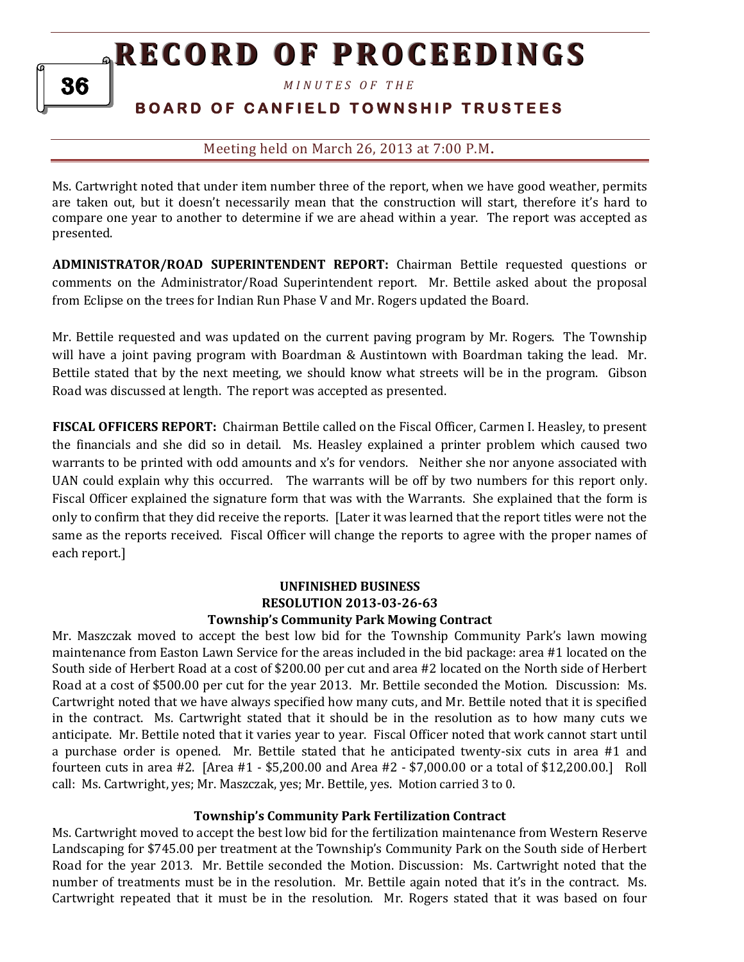*M I N U T E S O F T H E* 

## **B O A R D O F C A N F I E L D T O W N S H I P T R U S T E E S**

## Meeting held on March 26, 2013 at 7:00 P.M**.**

Ms. Cartwright noted that under item number three of the report, when we have good weather, permits are taken out, but it doesn't necessarily mean that the construction will start, therefore it's hard to compare one year to another to determine if we are ahead within a year. The report was accepted as presented.

**ADMINISTRATOR/ROAD SUPERINTENDENT REPORT:** Chairman Bettile requested questions or comments on the Administrator/Road Superintendent report. Mr. Bettile asked about the proposal from Eclipse on the trees for Indian Run Phase V and Mr. Rogers updated the Board.

Mr. Bettile requested and was updated on the current paving program by Mr. Rogers. The Township will have a joint paving program with Boardman & Austintown with Boardman taking the lead. Mr. Bettile stated that by the next meeting, we should know what streets will be in the program. Gibson Road was discussed at length. The report was accepted as presented.

**FISCAL OFFICERS REPORT:** Chairman Bettile called on the Fiscal Officer, Carmen I. Heasley, to present the financials and she did so in detail. Ms. Heasley explained a printer problem which caused two warrants to be printed with odd amounts and x's for vendors. Neither she nor anyone associated with UAN could explain why this occurred. The warrants will be off by two numbers for this report only. Fiscal Officer explained the signature form that was with the Warrants. She explained that the form is only to confirm that they did receive the reports. [Later it was learned that the report titles were not the same as the reports received. Fiscal Officer will change the reports to agree with the proper names of each report.]

## **UNFINISHED BUSINESS RESOLUTION 2013-03-26-63 Township's Community Park Mowing Contract**

Mr. Maszczak moved to accept the best low bid for the Township Community Park's lawn mowing maintenance from Easton Lawn Service for the areas included in the bid package: area #1 located on the South side of Herbert Road at a cost of \$200.00 per cut and area #2 located on the North side of Herbert Road at a cost of \$500.00 per cut for the year 2013. Mr. Bettile seconded the Motion. Discussion: Ms. Cartwright noted that we have always specified how many cuts, and Mr. Bettile noted that it is specified in the contract. Ms. Cartwright stated that it should be in the resolution as to how many cuts we anticipate. Mr. Bettile noted that it varies year to year. Fiscal Officer noted that work cannot start until a purchase order is opened. Mr. Bettile stated that he anticipated twenty-six cuts in area #1 and fourteen cuts in area #2. [Area #1 - \$5,200.00 and Area #2 - \$7,000.00 or a total of \$12,200.00.] Roll call: Ms. Cartwright, yes; Mr. Maszczak, yes; Mr. Bettile, yes. Motion carried 3 to 0.

## **Township's Community Park Fertilization Contract**

Ms. Cartwright moved to accept the best low bid for the fertilization maintenance from Western Reserve Landscaping for \$745.00 per treatment at the Township's Community Park on the South side of Herbert Road for the year 2013. Mr. Bettile seconded the Motion. Discussion: Ms. Cartwright noted that the number of treatments must be in the resolution. Mr. Bettile again noted that it's in the contract. Ms. Cartwright repeated that it must be in the resolution. Mr. Rogers stated that it was based on four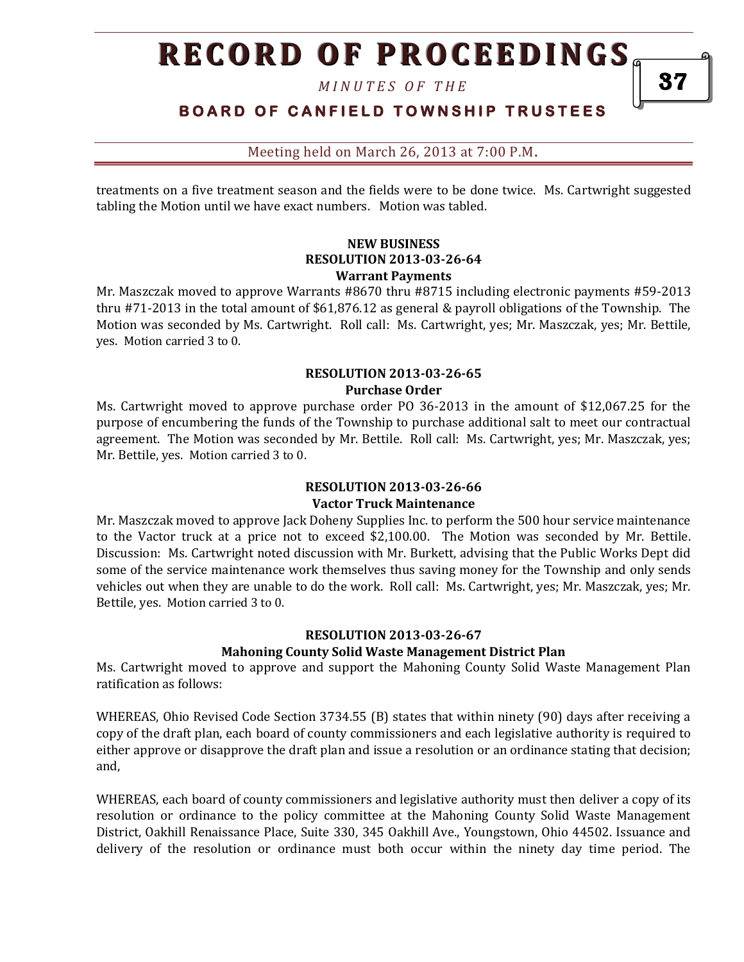*M I N U T E S O F T H E* 

**BOARD OF CANFIELD TOWNSHIP TRUSTEES** 

Meeting held on March 26, 2013 at 7:00 P.M**.**

treatments on a five treatment season and the fields were to be done twice. Ms. Cartwright suggested tabling the Motion until we have exact numbers. Motion was tabled.

#### **NEW BUSINESS RESOLUTION 2013-03-26-64 Warrant Payments**

Mr. Maszczak moved to approve Warrants #8670 thru #8715 including electronic payments #59-2013 thru #71-2013 in the total amount of \$61,876.12 as general & payroll obligations of the Township. The Motion was seconded by Ms. Cartwright. Roll call: Ms. Cartwright, yes; Mr. Maszczak, yes; Mr. Bettile, yes. Motion carried 3 to 0.

#### **RESOLUTION 2013-03-26-65 Purchase Order**

Ms. Cartwright moved to approve purchase order PO 36-2013 in the amount of \$12,067.25 for the purpose of encumbering the funds of the Township to purchase additional salt to meet our contractual agreement. The Motion was seconded by Mr. Bettile. Roll call: Ms. Cartwright, yes; Mr. Maszczak, yes; Mr. Bettile, yes. Motion carried 3 to 0.

## **RESOLUTION 2013-03-26-66 Vactor Truck Maintenance**

Mr. Maszczak moved to approve Jack Doheny Supplies Inc. to perform the 500 hour service maintenance to the Vactor truck at a price not to exceed \$2,100.00. The Motion was seconded by Mr. Bettile. Discussion: Ms. Cartwright noted discussion with Mr. Burkett, advising that the Public Works Dept did some of the service maintenance work themselves thus saving money for the Township and only sends vehicles out when they are unable to do the work. Roll call: Ms. Cartwright, yes; Mr. Maszczak, yes; Mr. Bettile, yes. Motion carried 3 to 0.

## **RESOLUTION 2013-03-26-67**

## **Mahoning County Solid Waste Management District Plan**

Ms. Cartwright moved to approve and support the Mahoning County Solid Waste Management Plan ratification as follows:

WHEREAS, Ohio Revised Code Section 3734.55 (B) states that within ninety (90) days after receiving a copy of the draft plan, each board of county commissioners and each legislative authority is required to either approve or disapprove the draft plan and issue a resolution or an ordinance stating that decision; and,

WHEREAS, each board of county commissioners and legislative authority must then deliver a copy of its resolution or ordinance to the policy committee at the Mahoning County Solid Waste Management District, Oakhill Renaissance Place, Suite 330, 345 Oakhill Ave., Youngstown, Ohio 44502. Issuance and delivery of the resolution or ordinance must both occur within the ninety day time period. The